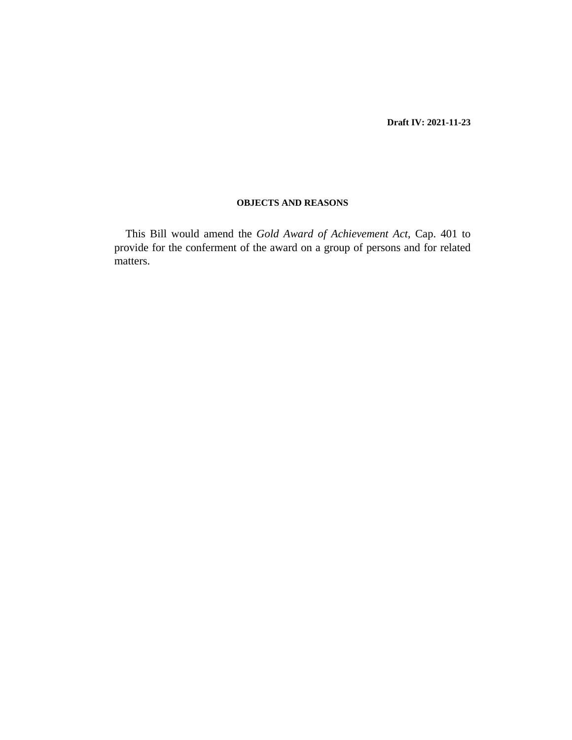**Draft IV: 2021-11-23**

# **OBJECTS AND REASONS**

This Bill would amend the *[Gold Award of Achievement Act](http://barbadosparliament-laws.com/en/showdoc/cs/401)*, Cap. 401 to provide for the conferment of the award on a group of persons and for related matters.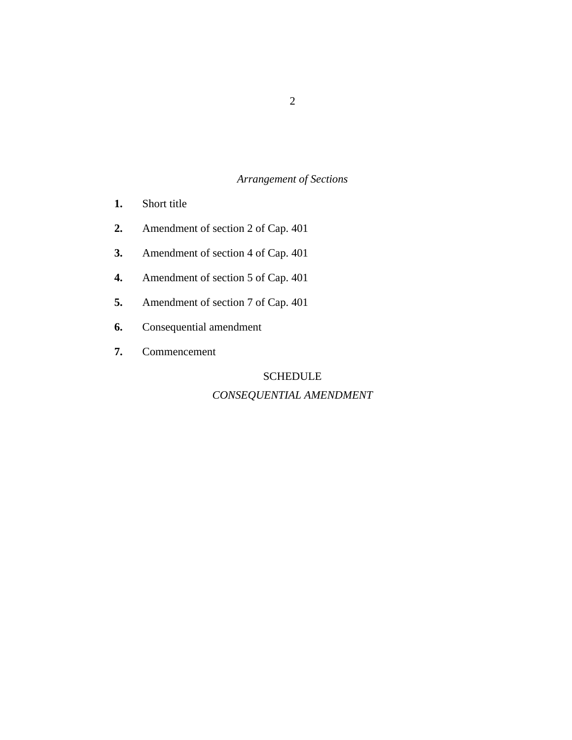# *Arrangement of Sections*

- [Short title](#page-2-0) **1.**
- [Amendment of section 2 of Cap. 401](#page-3-0) **2.**
- [Amendment of section 4 of Cap. 401](#page-3-0) **3.**
- [Amendment of section 5 of Cap. 401](#page-4-0) **4.**
- [Amendment of section 7 of Cap. 401](#page-4-0) **5.**
- [Consequential amendment](#page-5-0) **6.**
- [Commencement](#page-5-0) **7.**

# **SCHEDULE**

# *[CONSEQUENTIAL AMENDMENT](#page-6-0)*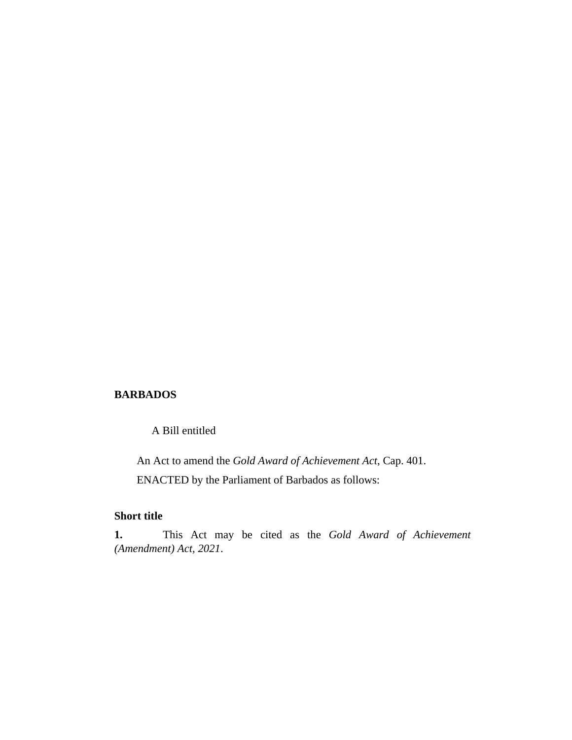# <span id="page-2-0"></span>**BARBADOS**

A Bill entitled

An Act to amend the *[Gold Award of Achievement Act](http://barbadosparliament-laws.com/en/showdoc/cs/401)*, Cap. 401. ENACTED by the Parliament of Barbados as follows:

# **Short title**

This Act may be cited as the *Gold Award of Achievement (Amendment) Act, 2021*. **1.**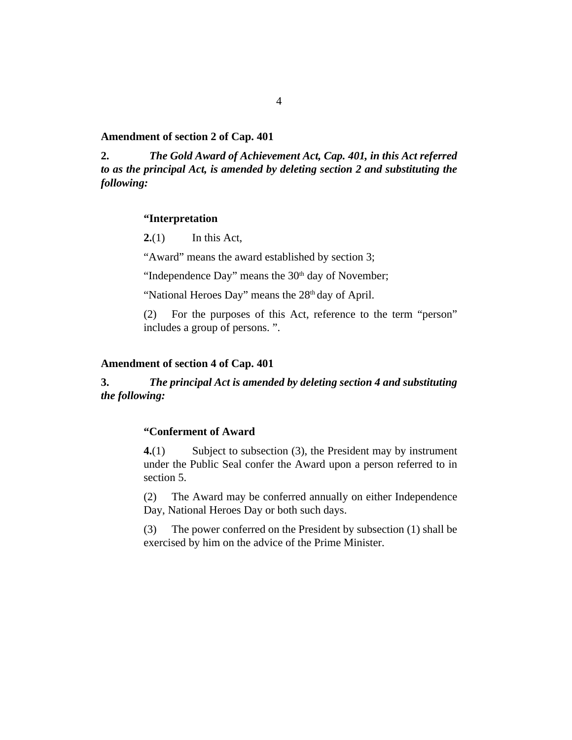## <span id="page-3-0"></span>**Amendment of section 2 of Cap. 401**

*The [Gold Award of Achievement Act, Cap. 401,](http://barbadosparliament-laws.com/en/showdoc/cs/401) in this Act referred to as the principal Act, is amended by deleting section 2 and substituting the following:* **2.**

### **"Interpretation**

In this Act, **2.**(1)

"Award" means the award established by section 3;

"Independence Day" means the  $30<sup>th</sup>$  day of November;

"National Heroes Day" means the 28<sup>th</sup> day of April.

For the purposes of this Act, reference to the term "person" includes a group of persons. ". (2)

## **Amendment of section 4 of Cap. 401**

#### *The principal Act is amended by deleting section 4 and substituting the following:* **3.**

# **"Conferment of Award**

Subject to subsection (3), the President may by instrument under the Public Seal confer the Award upon a person referred to in section 5. **4.**(1)

The Award may be conferred annually on either Independence Day, National Heroes Day or both such days. (2)

The power conferred on the President by subsection (1) shall be exercised by him on the advice of the Prime Minister. (3)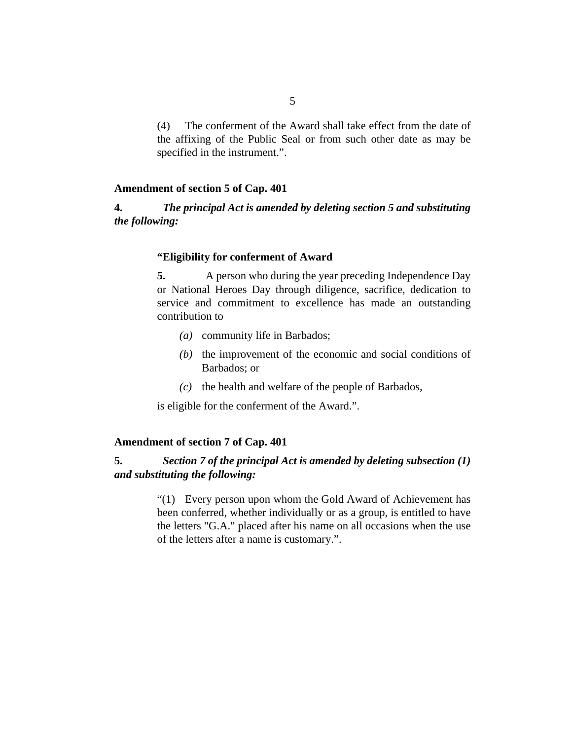<span id="page-4-0"></span>The conferment of the Award shall take effect from the date of the affixing of the Public Seal or from such other date as may be specified in the instrument.". (4)

## **Amendment of section 5 of Cap. 401**

### *The principal Act is amended by deleting section 5 and substituting the following:* **4.**

## **"Eligibility for conferment of Award**

A person who during the year preceding Independence Day or National Heroes Day through diligence, sacrifice, dedication to service and commitment to excellence has made an outstanding contribution to **5.**

- community life in Barbados; *(a)*
- $(t)$  the improvement of the economic and social conditions of Barbados; or
- $(c)$  the health and welfare of the people of Barbados,

is eligible for the conferment of the Award.".

## **Amendment of section 7 of Cap. 401**

### *Section 7 of the principal Act is amended by deleting subsection (1) and substituting the following:* **5.**

"(1) Every person upon whom the Gold Award of Achievement has been conferred, whether individually or as a group, is entitled to have the letters "G.A." placed after his name on all occasions when the use of the letters after a name is customary.".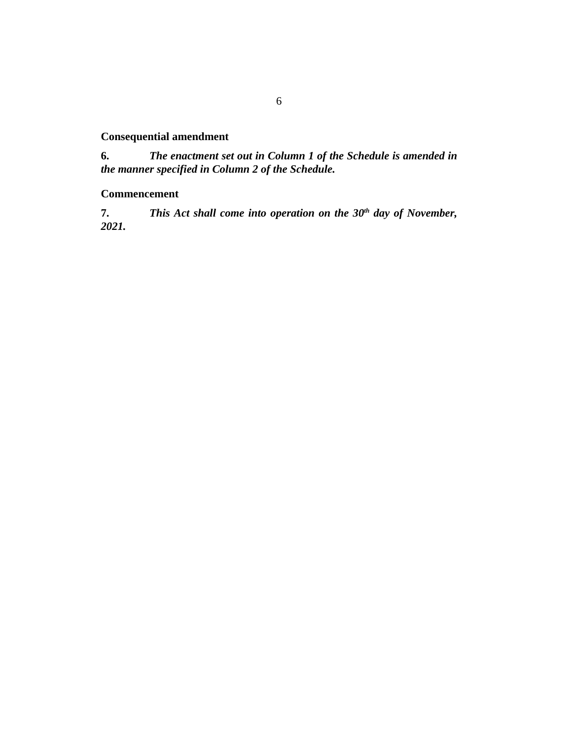# <span id="page-5-0"></span>**Consequential amendment**

*The enactment set out in Column 1 of the Schedule is amended in the manner specified in Column 2 of the Schedule.* **6.**

# **Commencement**

*This Act shall come into operation on the 30th day of November, 2021.* **7.**